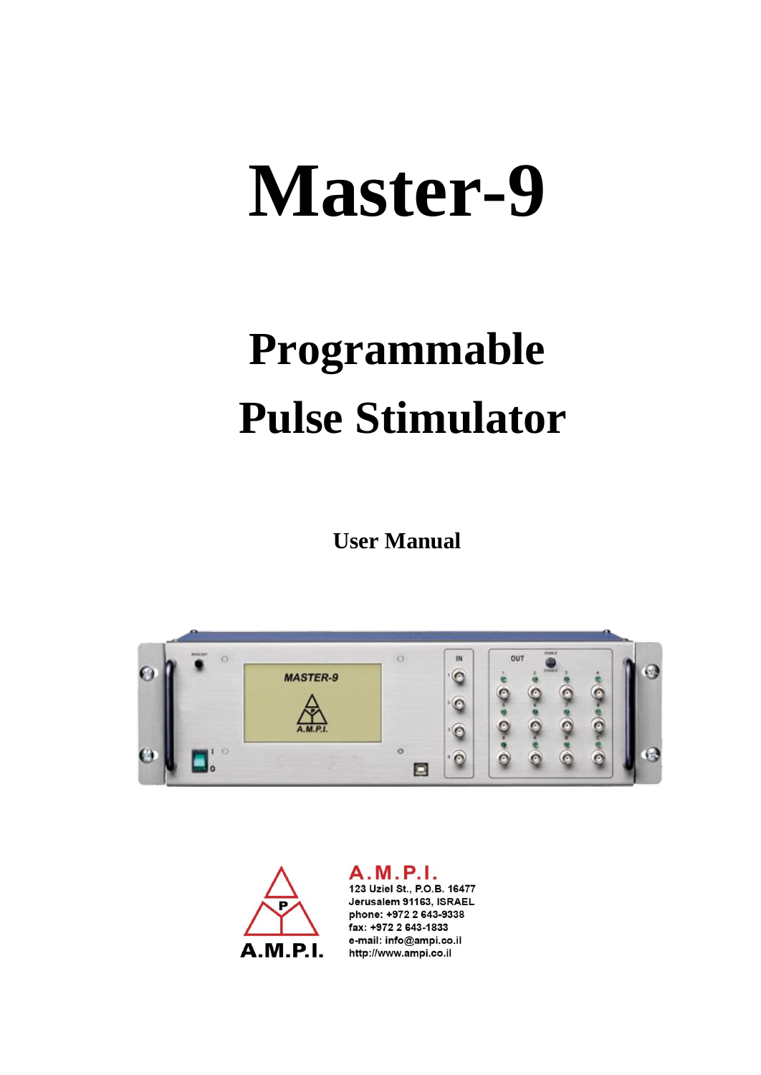# **Master-9**

# **Programmable Pulse Stimulator**

**User Manual**





A.M.P.I. 123 Uziel St., P.O.B. 16477 Jerusalem 91163, ISRAEL phone: +972 2 643-9338 fax: +972 2 643-1833 e-mail: info@ampi.co.il http://www.ampi.co.il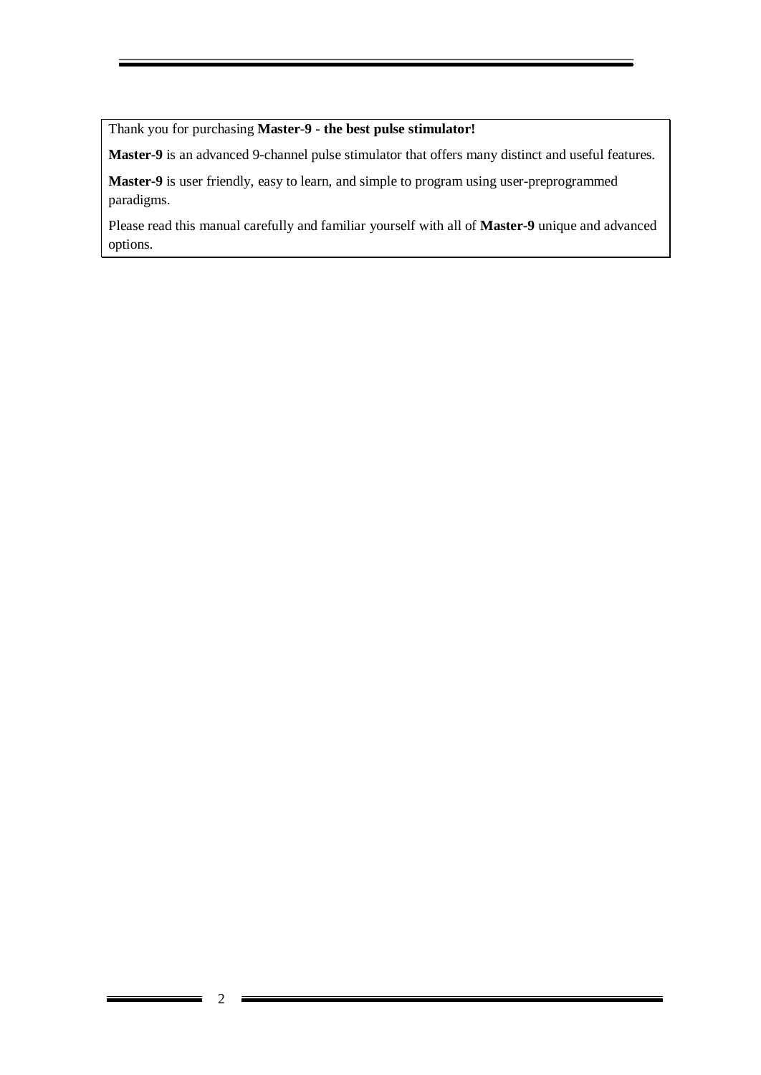Thank you for purchasing **Master-9 - the best pulse stimulator!**

**Master-9** is an advanced 9-channel pulse stimulator that offers many distinct and useful features.

**Master-9** is user friendly, easy to learn, and simple to program using user-preprogrammed paradigms.

Please read this manual carefully and familiar yourself with all of **Master-9** unique and advanced options.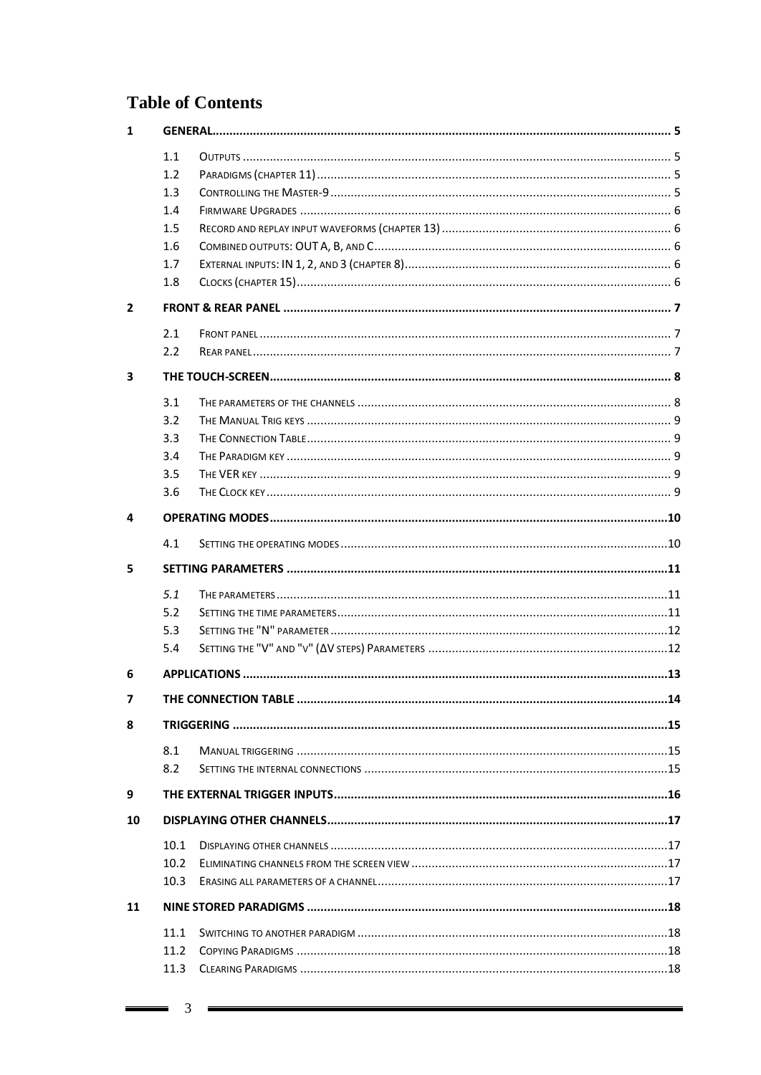# **Table of Contents**

| 1              |      |  |  |  |  |  |  |
|----------------|------|--|--|--|--|--|--|
|                | 1.1  |  |  |  |  |  |  |
|                | 1.2  |  |  |  |  |  |  |
|                | 1.3  |  |  |  |  |  |  |
|                | 1.4  |  |  |  |  |  |  |
|                | 1.5  |  |  |  |  |  |  |
|                | 1.6  |  |  |  |  |  |  |
|                | 1.7  |  |  |  |  |  |  |
|                | 1.8  |  |  |  |  |  |  |
| $\overline{2}$ |      |  |  |  |  |  |  |
|                | 2.1  |  |  |  |  |  |  |
|                | 2.2  |  |  |  |  |  |  |
| 3              |      |  |  |  |  |  |  |
|                | 3.1  |  |  |  |  |  |  |
|                | 3.2  |  |  |  |  |  |  |
|                | 3.3  |  |  |  |  |  |  |
|                | 3.4  |  |  |  |  |  |  |
|                | 3.5  |  |  |  |  |  |  |
|                | 3.6  |  |  |  |  |  |  |
| 4              |      |  |  |  |  |  |  |
|                | 4.1  |  |  |  |  |  |  |
| 5              |      |  |  |  |  |  |  |
|                | 5.1  |  |  |  |  |  |  |
|                | 5.2  |  |  |  |  |  |  |
|                | 5.3  |  |  |  |  |  |  |
|                | 5.4  |  |  |  |  |  |  |
| 6              |      |  |  |  |  |  |  |
| $\overline{ }$ |      |  |  |  |  |  |  |
| 8              |      |  |  |  |  |  |  |
|                | 8.1  |  |  |  |  |  |  |
|                | 8.2  |  |  |  |  |  |  |
| 9              |      |  |  |  |  |  |  |
| 10             |      |  |  |  |  |  |  |
|                | 10.1 |  |  |  |  |  |  |
|                | 10.2 |  |  |  |  |  |  |
|                | 10.3 |  |  |  |  |  |  |
| 11             |      |  |  |  |  |  |  |
|                | 11.1 |  |  |  |  |  |  |
|                | 11.2 |  |  |  |  |  |  |
|                | 11.3 |  |  |  |  |  |  |
|                |      |  |  |  |  |  |  |

 $\equiv$  3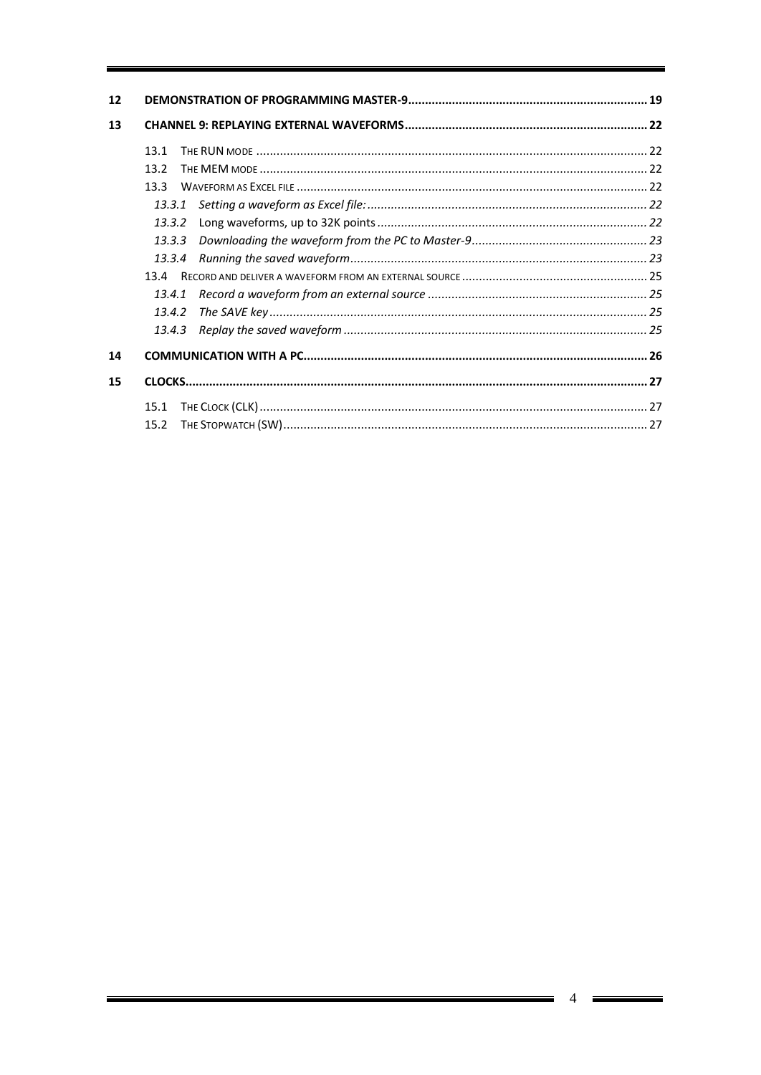| 12 |        |  |
|----|--------|--|
| 13 |        |  |
|    | 131    |  |
|    | 13.2   |  |
|    | 133    |  |
|    |        |  |
|    | 13.3.2 |  |
|    | 13.3.3 |  |
|    | 13.3.4 |  |
|    | 13.4   |  |
|    | 13.4.1 |  |
|    |        |  |
|    |        |  |
| 14 |        |  |
| 15 |        |  |
|    | 15.1   |  |
|    | 15.2   |  |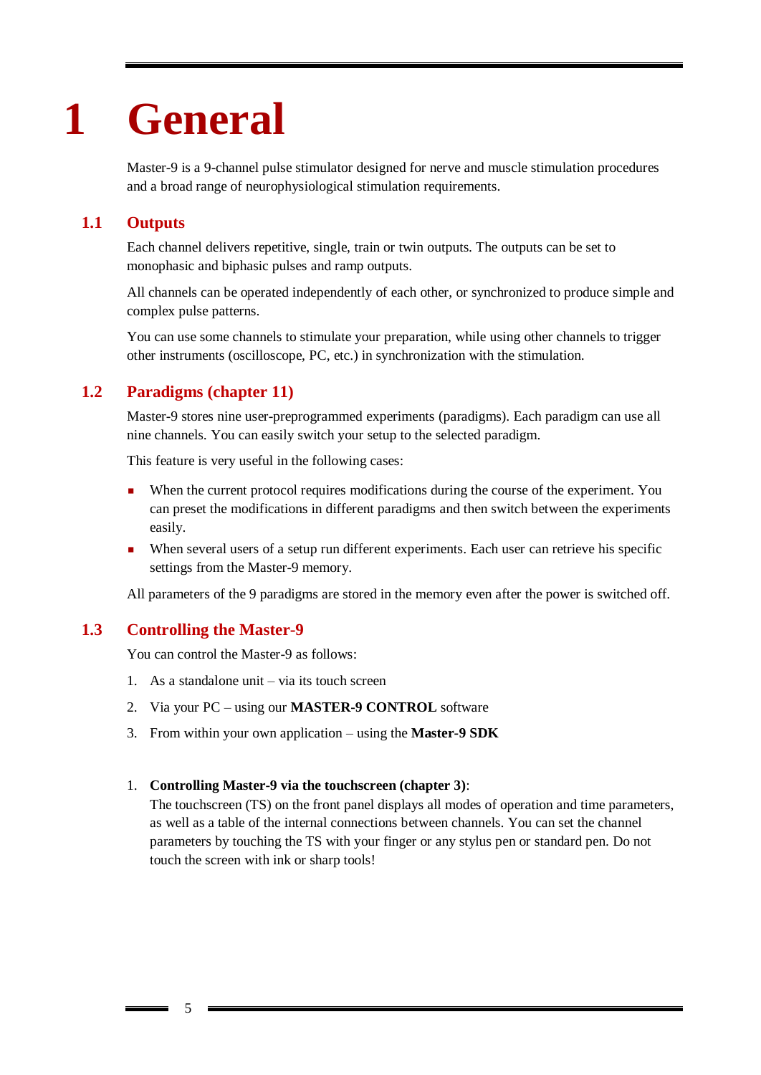# <span id="page-4-0"></span>**1 General**

Master-9 is a 9-channel pulse stimulator designed for nerve and muscle stimulation procedures and a broad range of neurophysiological stimulation requirements.

# **1.1 Outputs**

<span id="page-4-1"></span>Each channel delivers repetitive, single, train or twin outputs. The outputs can be set to monophasic and biphasic pulses and ramp outputs.

All channels can be operated independently of each other, or synchronized to produce simple and complex pulse patterns.

You can use some channels to stimulate your preparation, while using other channels to trigger other instruments (oscilloscope, PC, etc.) in synchronization with the stimulation.

# **1.2 Paradigms (chapter 11)**

<span id="page-4-2"></span>Master-9 stores nine user-preprogrammed experiments (paradigms). Each paradigm can use all nine channels. You can easily switch your setup to the selected paradigm.

This feature is very useful in the following cases:

- When the current protocol requires modifications during the course of the experiment. You can preset the modifications in different paradigms and then switch between the experiments easily.
- When several users of a setup run different experiments. Each user can retrieve his specific settings from the Master-9 memory.

<span id="page-4-3"></span>All parameters of the 9 paradigms are stored in the memory even after the power is switched off.

### **1.3 Controlling the Master-9**

You can control the Master-9 as follows:

- 1. As a standalone unit via its touch screen
- 2. Via your PC using our **MASTER-9 CONTROL** software
- 3. From within your own application using the **Master-9 SDK**

#### 1. **Controlling Master-9 via the touchscreen (chapter 3)**:

The touchscreen (TS) on the front panel displays all modes of operation and time parameters, as well as a table of the internal connections between channels. You can set the channel parameters by touching the TS with your finger or any stylus pen or standard pen. Do not touch the screen with ink or sharp tools!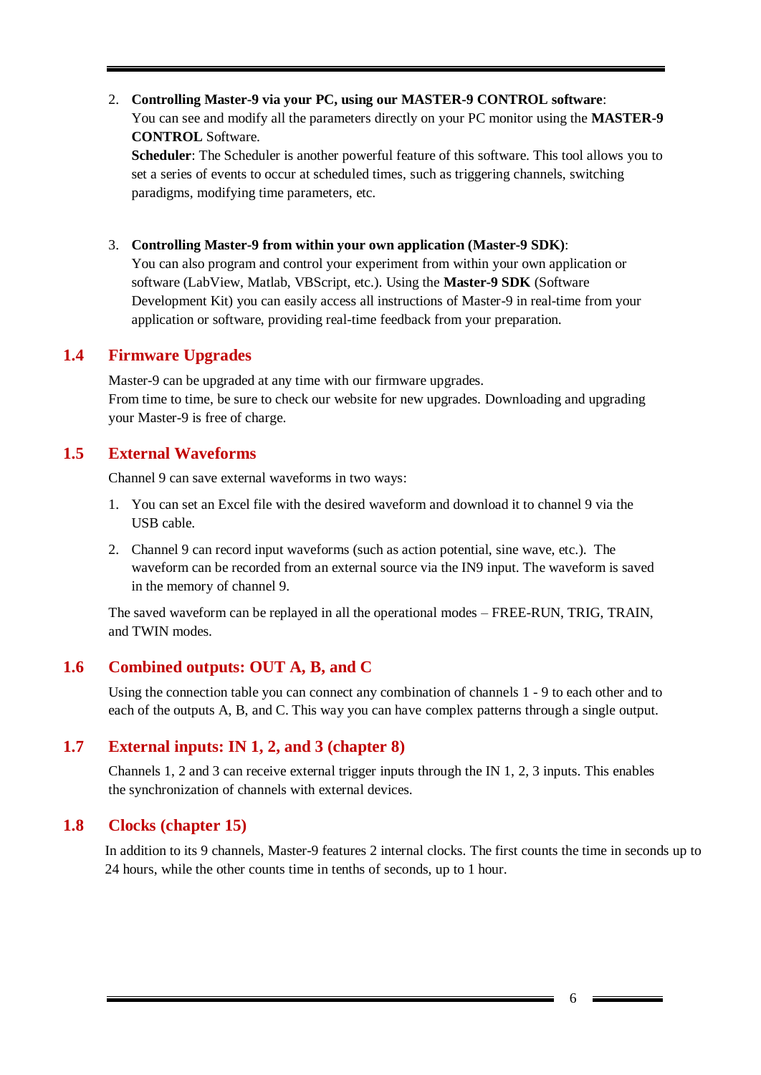# 2. **Controlling Master-9 via your PC, using our MASTER-9 CONTROL software**: You can see and modify all the parameters directly on your PC monitor using the **MASTER-9 CONTROL** Software. **Scheduler**: The Scheduler is another powerful feature of this software. This tool allows you to

set a series of events to occur at scheduled times, such as triggering channels, switching paradigms, modifying time parameters, etc.

3. **Controlling Master-9 from within your own application (Master-9 SDK)**:

You can also program and control your experiment from within your own application or software (LabView, Matlab, VBScript, etc.). Using the **Master-9 SDK** (Software Development Kit) you can easily access all instructions of Master-9 in real-time from your application or software, providing real-time feedback from your preparation.

### **1.4 Firmware Upgrades**

<span id="page-5-0"></span>Master-9 can be upgraded at any time with our firmware upgrades. From time to time, be sure to check our website for new upgrades. Downloading and upgrading your Master-9 is free of charge.

### **1.5 External Waveforms**

<span id="page-5-1"></span>Channel 9 can save external waveforms in two ways:

- 1. You can set an Excel file with the desired waveform and download it to channel 9 via the USB cable.
- 2. Channel 9 can record input waveforms (such as action potential, sine wave, etc.). The waveform can be recorded from an external source via the IN9 input. The waveform is saved in the memory of channel 9.

The saved waveform can be replayed in all the operational modes – FREE-RUN, TRIG, TRAIN, and TWIN modes.

### **1.6 Combined outputs: OUT A, B, and C**

<span id="page-5-2"></span>Using the connection table you can connect any combination of channels 1 - 9 to each other and to each of the outputs A, B, and C. This way you can have complex patterns through a single output.

### **1.7 External inputs: IN 1, 2, and 3 (chapter 8)**

<span id="page-5-3"></span>Channels 1, 2 and 3 can receive external trigger inputs through the IN 1, 2, 3 inputs. This enables the synchronization of channels with external devices.

### **1.8 Clocks (chapter 15)**

<span id="page-5-4"></span>In addition to its 9 channels, Master-9 features 2 internal clocks. The first counts the time in seconds up to 24 hours, while the other counts time in tenths of seconds, up to 1 hour.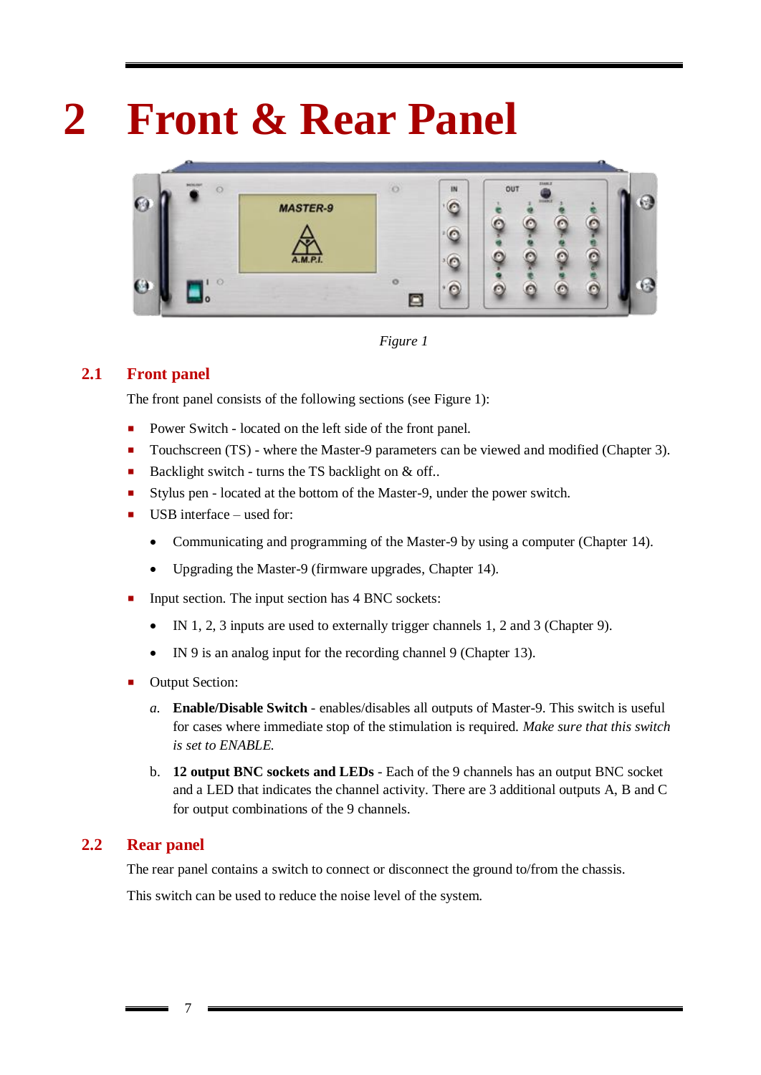# **2 Front & Rear Panel**

<span id="page-6-0"></span>

*Figure 1*

# **2.1 Front panel**

<span id="page-6-1"></span>The front panel consists of the following sections (see Figure 1):

- **Power Switch located on the left side of the front panel.**
- Touchscreen (TS) where the Master-9 parameters can be viewed and modified (Chapter 3).
- Backlight switch turns the TS backlight on  $\&$  off..
- Stylus pen located at the bottom of the Master-9, under the power switch.
- $\blacksquare$  USB interface used for:
	- Communicating and programming of the Master-9 by using a computer (Chapter 14).
	- Upgrading the Master-9 (firmware upgrades, Chapter 14).
- Input section. The input section has 4 BNC sockets:
	- IN 1, 2, 3 inputs are used to externally trigger channels 1, 2 and 3 (Chapter 9).
	- IN 9 is an analog input for the recording channel 9 (Chapter 13).
- Output Section:

7

- *a.* **Enable/Disable Switch** enables/disables all outputs of Master-9. This switch is useful for cases where immediate stop of the stimulation is required. *Make sure that this switch is set to ENABLE.*
- b. **12 output BNC sockets and LEDs** Each of the 9 channels has an output BNC socket and a LED that indicates the channel activity. There are 3 additional outputs A, B and C for output combinations of the 9 channels.

### **2.2 Rear panel**

<span id="page-6-2"></span>The rear panel contains a switch to connect or disconnect the ground to/from the chassis.

This switch can be used to reduce the noise level of the system.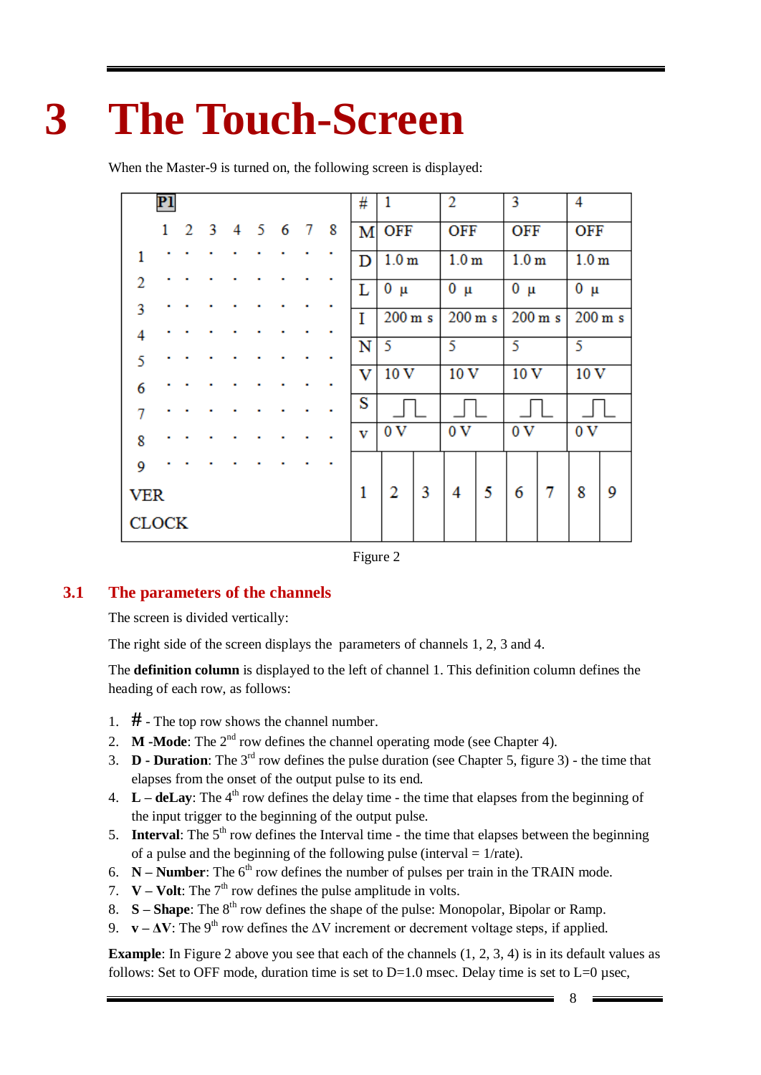# <span id="page-7-0"></span>**3 The Touch-Screen**

When the Master-9 is turned on, the following screen is displayed:

|                | P1           |                |    |   |   |   |   |   | # | 1                 |   | 2                 |  | 3                 |  | 4                 |  |
|----------------|--------------|----------------|----|---|---|---|---|---|---|-------------------|---|-------------------|--|-------------------|--|-------------------|--|
|                | $\mathbf{1}$ | $\overline{2}$ | -3 | 4 | 5 | 6 | 7 | 8 | М | OFF               |   | OFF               |  | OFF               |  | OFF               |  |
| 1              |              |                |    |   |   |   |   |   | D | 1.0 <sub>m</sub>  |   | 1.0 <sub>m</sub>  |  | 1.0 <sub>m</sub>  |  | 1.0 <sub>m</sub>  |  |
| $\overline{2}$ |              |                |    |   |   |   |   |   | Г | $0 \mu$           |   | $0 \mu$           |  | $0 \mu$           |  | $0 \mu$           |  |
| 3              |              |                |    |   |   |   |   |   | I | $200 \text{ m/s}$ |   | $200 \text{ m/s}$ |  | $200 \text{ m/s}$ |  | $200 \text{ m/s}$ |  |
| $\overline{4}$ |              |                |    |   |   |   |   |   | N | 5                 |   | 5                 |  | 5                 |  | 5                 |  |
| 5              |              |                |    |   |   |   |   |   | v | 10 <sub>V</sub>   |   | 10 <sub>V</sub>   |  | 10 <sub>V</sub>   |  | 10 <sub>V</sub>   |  |
| 6              |              |                |    |   |   |   |   |   | S |                   |   |                   |  |                   |  |                   |  |
| 7              |              |                |    |   |   |   |   |   |   |                   |   |                   |  |                   |  |                   |  |
| 8              |              |                |    |   |   |   |   |   | v | 0V                |   | 0V                |  | 0V                |  | 0V                |  |
| 9              |              |                |    |   |   |   |   |   |   |                   |   |                   |  |                   |  |                   |  |
| <b>VER</b>     |              |                |    | 1 | 2 | 3 | 4 | 5 | 6 | 7                 | 8 | 9                 |  |                   |  |                   |  |
| <b>CLOCK</b>   |              |                |    |   |   |   |   |   |   |                   |   |                   |  |                   |  |                   |  |

Figure 2

### **3.1 The parameters of the channels**

<span id="page-7-1"></span>The screen is divided vertically:

The right side of the screen displays the parameters of channels 1, 2, 3 and 4.

The **definition column** is displayed to the left of channel 1. This definition column defines the heading of each row, as follows:

- 1. **#** The top row shows the channel number.
- 2. **M -Mode**: The  $2^{nd}$  row defines the channel operating mode (see Chapter 4).
- 3.  $\mathbf{D}$  **- Duration**: The 3<sup>rd</sup> row defines the pulse duration (see Chapter 5, figure 3) the time that elapses from the onset of the output pulse to its end.
- 4.  $L -$ **deLay**: The 4<sup>th</sup> row defines the delay time the time that elapses from the beginning of the input trigger to the beginning of the output pulse.
- 5. **Interval**: The  $5<sup>th</sup>$  row defines the Interval time the time that elapses between the beginning of a pulse and the beginning of the following pulse (interval  $= 1/r$ ate).
- 6.  $N -$  **Number**: The 6<sup>th</sup> row defines the number of pulses per train in the TRAIN mode.
- 7.  $V Volt$ : The 7<sup>th</sup> row defines the pulse amplitude in volts.
- 8. **S Shape**: The 8<sup>th</sup> row defines the shape of the pulse: Monopolar, Bipolar or Ramp.
- 9. **v**  $\Delta V$ : The 9<sup>th</sup> row defines the  $\Delta V$  increment or decrement voltage steps, if applied.

**Example**: In Figure 2 above you see that each of the channels  $(1, 2, 3, 4)$  is in its default values as follows: Set to OFF mode, duration time is set to  $D=1.0$  msec. Delay time is set to  $L=0$  µsec,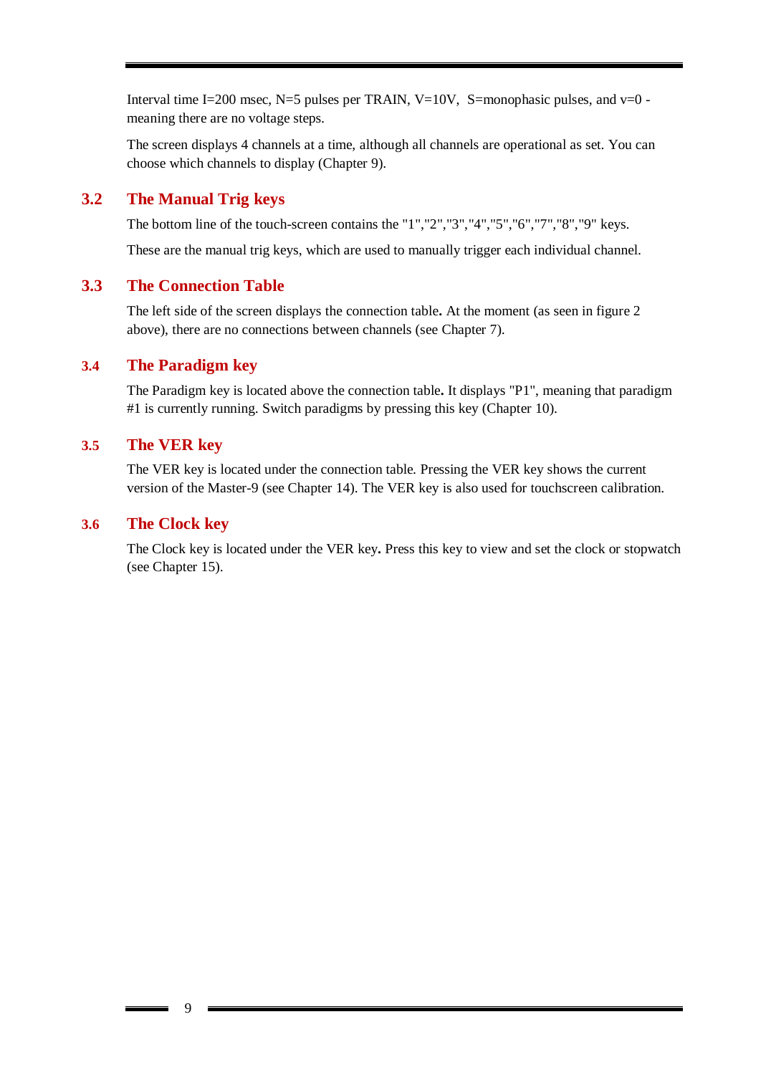Interval time I=200 msec, N=5 pulses per TRAIN, V=10V, S=monophasic pulses, and  $v=0$  meaning there are no voltage steps.

The screen displays 4 channels at a time, although all channels are operational as set. You can choose which channels to display (Chapter 9).

### **3.2 The Manual Trig keys**

<span id="page-8-0"></span>The bottom line of the touch-screen contains the "1","2","3","4","5","6","7","8","9" keys.

<span id="page-8-1"></span>These are the manual trig keys, which are used to manually trigger each individual channel.

### **3.3 The Connection Table**

The left side of the screen displays the connection table**.** At the moment (as seen in figure 2 above), there are no connections between channels (see Chapter 7).

### **3.4 The Paradigm key**

<span id="page-8-2"></span>The Paradigm key is located above the connection table**.** It displays "P1", meaning that paradigm #1 is currently running. Switch paradigms by pressing this key (Chapter 10).

### **3.5 The VER key**

<span id="page-8-3"></span>The VER key is located under the connection table. Pressing the VER key shows the current version of the Master-9 (see Chapter 14). The VER key is also used for touchscreen calibration.

### **3.6 The Clock key**

<span id="page-8-4"></span>The Clock key is located under the VER key**.** Press this key to view and set the clock or stopwatch (see Chapter 15).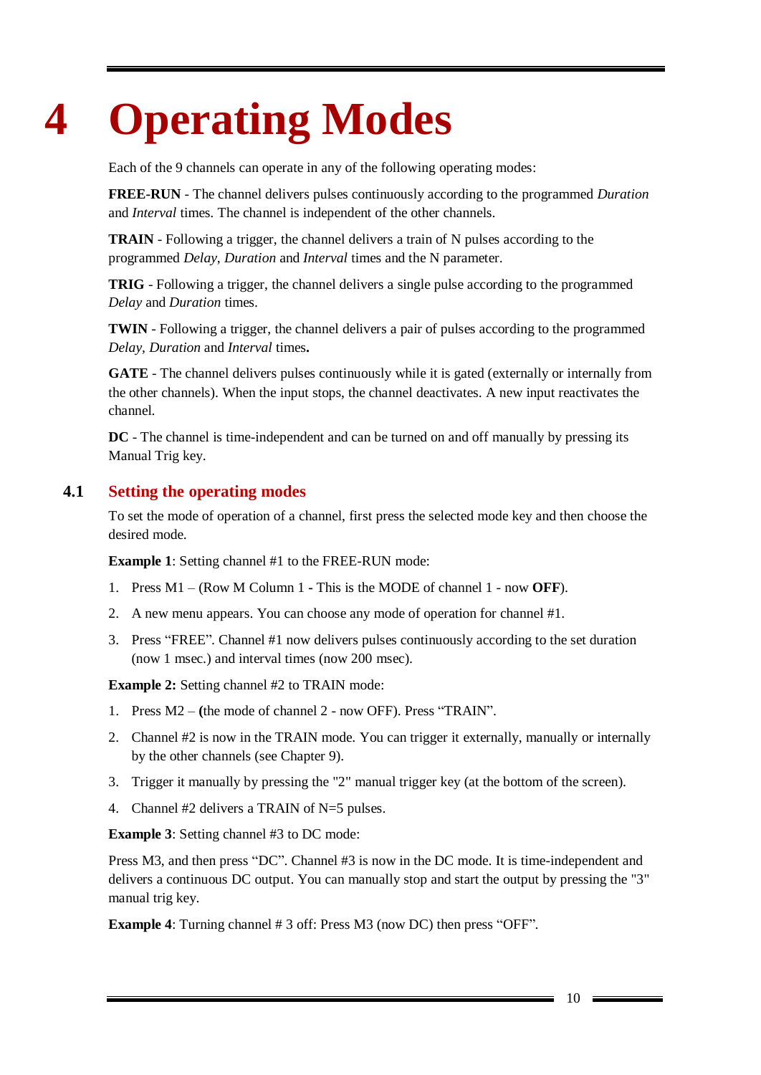# <span id="page-9-0"></span>**4 Operating Modes**

Each of the 9 channels can operate in any of the following operating modes:

**FREE-RUN** - The channel delivers pulses continuously according to the programmed *Duration* and *Interval* times. The channel is independent of the other channels.

**TRAIN** - Following a trigger, the channel delivers a train of N pulses according to the programmed *Delay*, *Duration* and *Interval* times and the N parameter.

**TRIG** - Following a trigger, the channel delivers a single pulse according to the programmed *Delay* and *Duration* times.

**TWIN** - Following a trigger, the channel delivers a pair of pulses according to the programmed *Delay, Duration* and *Interval* times**.**

**GATE** - The channel delivers pulses continuously while it is gated (externally or internally from the other channels). When the input stops, the channel deactivates. A new input reactivates the channel.

**DC** - The channel is time-independent and can be turned on and off manually by pressing its Manual Trig key.

### **4.1 Setting the operating modes**

<span id="page-9-1"></span>To set the mode of operation of a channel, first press the selected mode key and then choose the desired mode.

**Example 1**: Setting channel #1 to the FREE-RUN mode:

- 1. Press M1 (Row M Column 1 **-** This is the MODE of channel 1 now **OFF**).
- 2. A new menu appears. You can choose any mode of operation for channel #1.
- 3. Press "FREE". Channel #1 now delivers pulses continuously according to the set duration (now 1 msec.) and interval times (now 200 msec).

**Example 2:** Setting channel #2 to TRAIN mode:

- 1. Press M2 **(**the mode of channel 2 now OFF). Press "TRAIN".
- 2. Channel #2 is now in the TRAIN mode. You can trigger it externally, manually or internally by the other channels (see Chapter 9).
- 3. Trigger it manually by pressing the "2" manual trigger key (at the bottom of the screen).
- 4. Channel #2 delivers a TRAIN of N=5 pulses.

**Example 3**: Setting channel #3 to DC mode:

Press M3, and then press "DC". Channel #3 is now in the DC mode. It is time-independent and delivers a continuous DC output. You can manually stop and start the output by pressing the "3" manual trig key.

**Example 4**: Turning channel # 3 off: Press M3 (now DC) then press "OFF".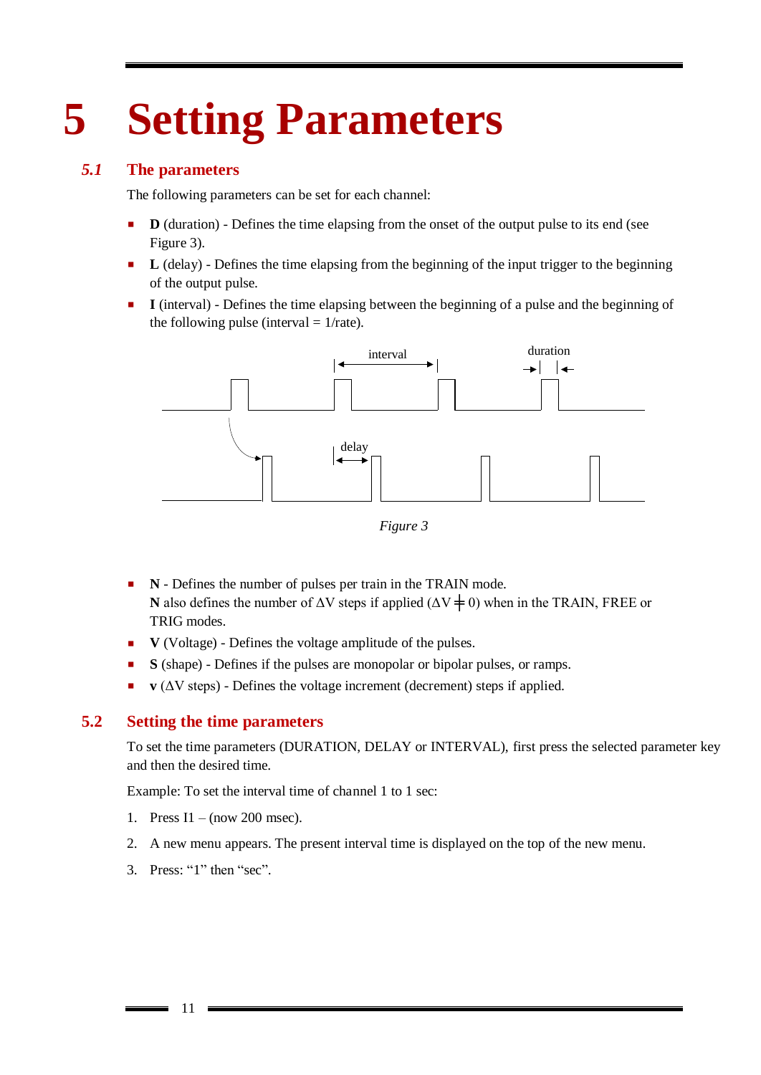# <span id="page-10-0"></span>**5 Setting Parameters**

### *5.1* **The parameters**

<span id="page-10-1"></span>The following parameters can be set for each channel:

- **D** (duration) Defines the time elapsing from the onset of the output pulse to its end (see Figure 3).
- **L** (delay) Defines the time elapsing from the beginning of the input trigger to the beginning of the output pulse.
- **I** (interval) Defines the time elapsing between the beginning of a pulse and the beginning of the following pulse (interval  $= 1/r$ ate).



*Figure 3*

- **N** Defines the number of pulses per train in the TRAIN mode. **N** also defines the number of  $\Delta V$  steps if applied ( $\Delta V \neq 0$ ) when in the TRAIN, FREE or TRIG modes.
- **V** (Voltage) Defines the voltage amplitude of the pulses.
- **S** (shape) Defines if the pulses are monopolar or bipolar pulses, or ramps.
- <span id="page-10-2"></span> $\bf{v}$  ( $\Delta V$  steps) - Defines the voltage increment (decrement) steps if applied.

### **5.2 Setting the time parameters**

To set the time parameters (DURATION, DELAY or INTERVAL), first press the selected parameter key and then the desired time.

Example: To set the interval time of channel 1 to 1 sec:

- 1. Press I1 (now 200 msec).
- 2. A new menu appears. The present interval time is displayed on the top of the new menu.
- 3. Press: "1" then "sec".

11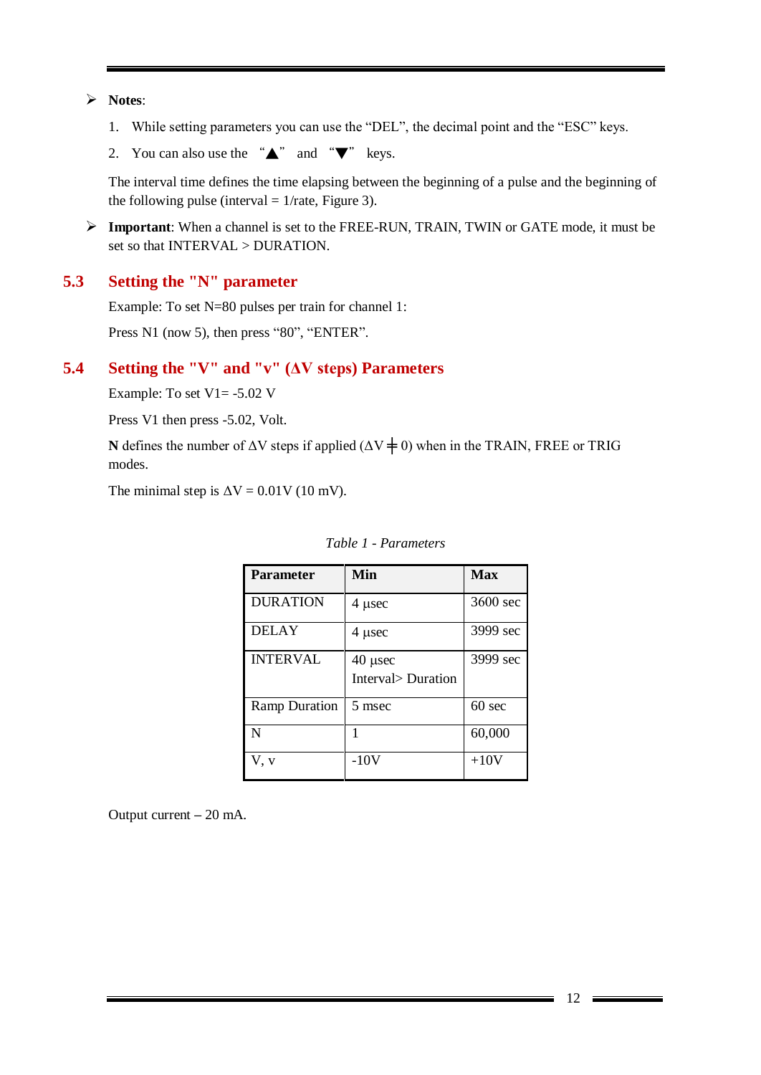**Notes**:

- 1. While setting parameters you can use the "DEL", the decimal point and the "ESC" keys.
- 2. You can also use the " $\blacktriangle$ " and " $\nabla$ " keys.

The interval time defines the time elapsing between the beginning of a pulse and the beginning of the following pulse (interval  $= 1/r$ ate, Figure 3).

 **Important**: When a channel is set to the FREE-RUN, TRAIN, TWIN or GATE mode, it must be set so that INTERVAL > DURATION.

### **5.3 Setting the "N" parameter**

<span id="page-11-0"></span>Example: To set N=80 pulses per train for channel 1:

<span id="page-11-1"></span>Press N1 (now 5), then press "80", "ENTER".

### **5.4 Setting the "V" and "v" (ΔV steps) Parameters**

Example: To set V1= -5.02 V

Press V1 then press -5.02, Volt.

**N** defines the number of  $\Delta V$  steps if applied ( $\Delta V \neq 0$ ) when in the TRAIN, FREE or TRIG modes.

The minimal step is  $\Delta V = 0.01V$  (10 mV).

| <b>Parameter</b>     | Min                             | Max              |
|----------------------|---------------------------------|------------------|
| <b>DURATION</b>      | $4$ µsec                        | 3600 sec         |
| <b>DELAY</b>         | 4 usec                          | 3999 sec         |
| <b>INTERVAL</b>      | $40$ µsec<br>Interval> Duration | 3999 sec         |
| <b>Ramp Duration</b> | 5 msec                          | $60 \text{ sec}$ |
| N                    |                                 | 60,000           |
| V, v                 | $-10V$                          | $+10V$           |

*Table 1 - Parameters* 

Output current **–** 20 mA.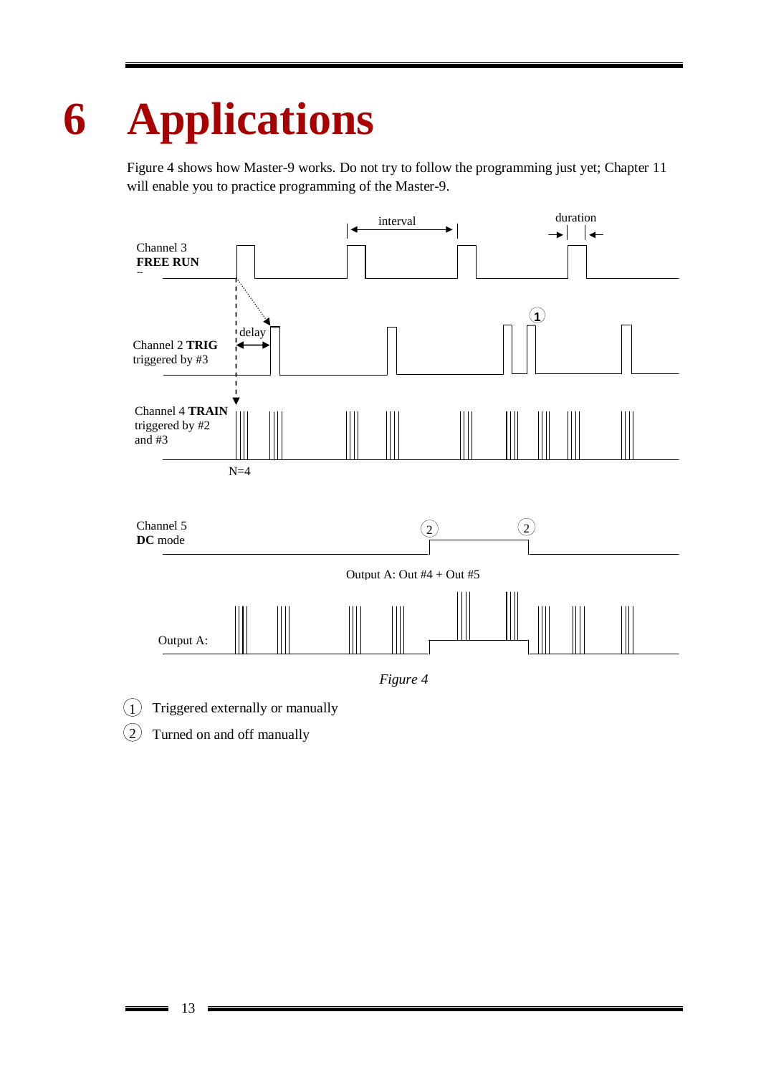# <span id="page-12-0"></span>**6 Applications**

Figure 4 shows how Master-9 works. Do not try to follow the programming just yet; Chapter 11 will enable you to practice programming of the Master-9.



- $(1)$ Triggered externally or manually
- $\left( 2\right)$ Turned on and off manually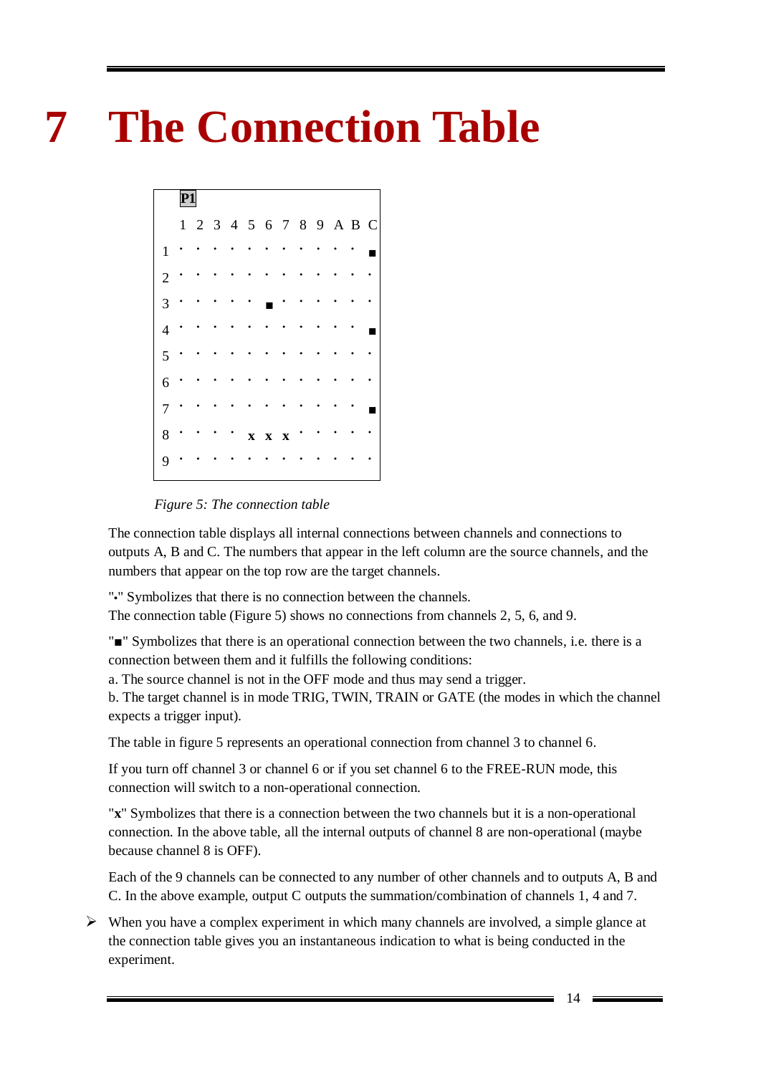# <span id="page-13-0"></span>**7 The Connection Table**



*Figure 5: The connection table*

The connection table displays all internal connections between channels and connections to outputs A, B and C. The numbers that appear in the left column are the source channels, and the numbers that appear on the top row are the target channels.

"**•**" Symbolizes that there is no connection between the channels.

The connection table (Figure 5) shows no connections from channels 2, 5, 6, and 9.

"■" Symbolizes that there is an operational connection between the two channels, i.e. there is a connection between them and it fulfills the following conditions:

a. The source channel is not in the OFF mode and thus may send a trigger.

b. The target channel is in mode TRIG, TWIN, TRAIN or GATE (the modes in which the channel expects a trigger input).

The table in figure 5 represents an operational connection from channel 3 to channel 6.

If you turn off channel 3 or channel 6 or if you set channel 6 to the FREE-RUN mode, this connection will switch to a non-operational connection.

"**x**" Symbolizes that there is a connection between the two channels but it is a non-operational connection. In the above table, all the internal outputs of channel 8 are non-operational (maybe because channel 8 is OFF).

Each of the 9 channels can be connected to any number of other channels and to outputs A, B and C. In the above example, output C outputs the summation/combination of channels 1, 4 and 7.

 $\triangleright$  When you have a complex experiment in which many channels are involved, a simple glance at the connection table gives you an instantaneous indication to what is being conducted in the experiment.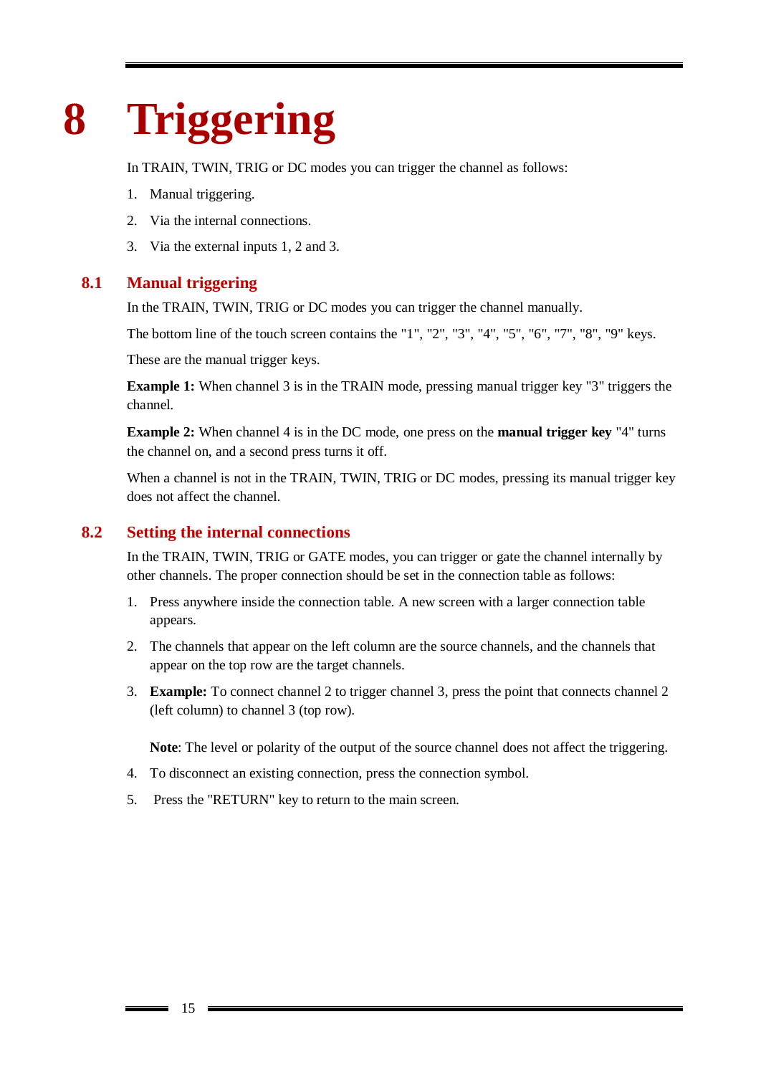# <span id="page-14-0"></span>**8 Triggering**

In TRAIN, TWIN, TRIG or DC modes you can trigger the channel as follows:

- 1. Manual triggering.
- 2. Via the internal connections.
- <span id="page-14-1"></span>3. Via the external inputs 1, 2 and 3.

### **8.1 Manual triggering**

In the TRAIN, TWIN, TRIG or DC modes you can trigger the channel manually.

The bottom line of the touch screen contains the "1", "2", "3", "4", "5", "6", "7", "8", "9" keys.

These are the manual trigger keys.

**Example 1:** When channel 3 is in the TRAIN mode, pressing manual trigger key "3" triggers the channel.

**Example 2:** When channel 4 is in the DC mode, one press on the **manual trigger key** "4" turns the channel on, and a second press turns it off.

When a channel is not in the TRAIN, TWIN, TRIG or DC modes, pressing its manual trigger key does not affect the channel.

### **8.2 Setting the internal connections**

<span id="page-14-2"></span>In the TRAIN, TWIN, TRIG or GATE modes, you can trigger or gate the channel internally by other channels. The proper connection should be set in the connection table as follows:

- 1. Press anywhere inside the connection table. A new screen with a larger connection table appears.
- 2. The channels that appear on the left column are the source channels, and the channels that appear on the top row are the target channels.
- 3. **Example:** To connect channel 2 to trigger channel 3, press the point that connects channel 2 (left column) to channel 3 (top row).

**Note**: The level or polarity of the output of the source channel does not affect the triggering.

- 4. To disconnect an existing connection, press the connection symbol.
- 5. Press the "RETURN" key to return to the main screen.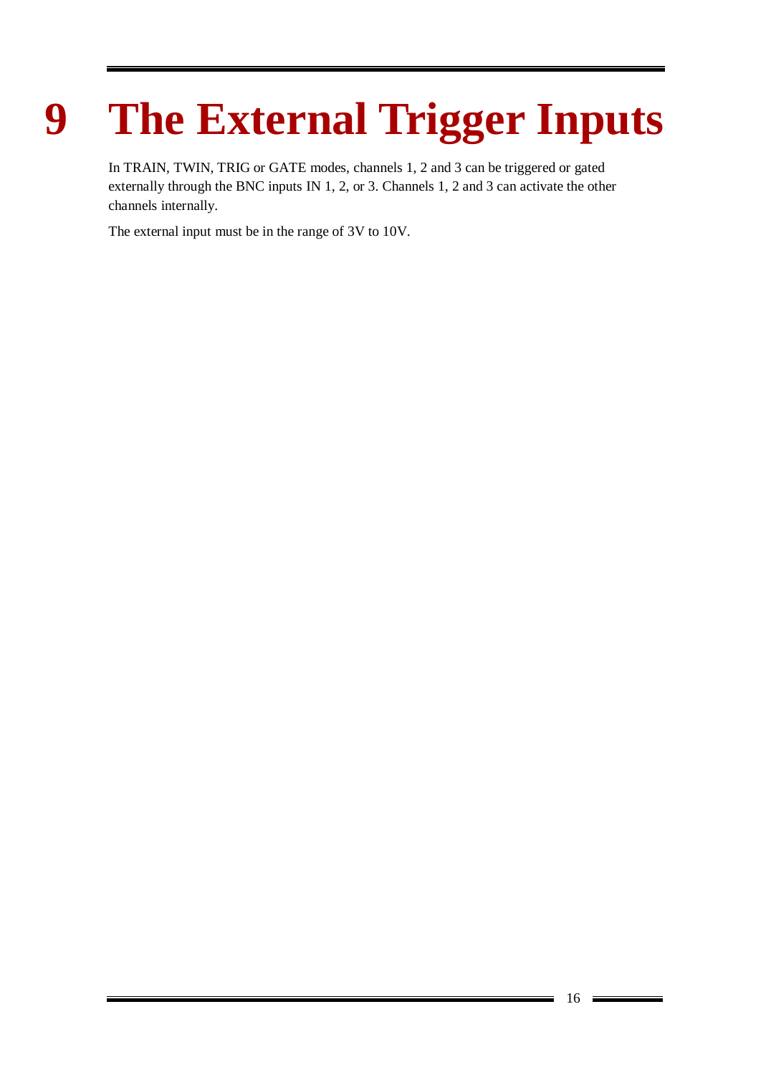# <span id="page-15-0"></span>**9 The External Trigger Inputs**

In TRAIN, TWIN, TRIG or GATE modes, channels 1, 2 and 3 can be triggered or gated externally through the BNC inputs IN 1, 2, or 3. Channels 1, 2 and 3 can activate the other channels internally.

The external input must be in the range of 3V to 10V.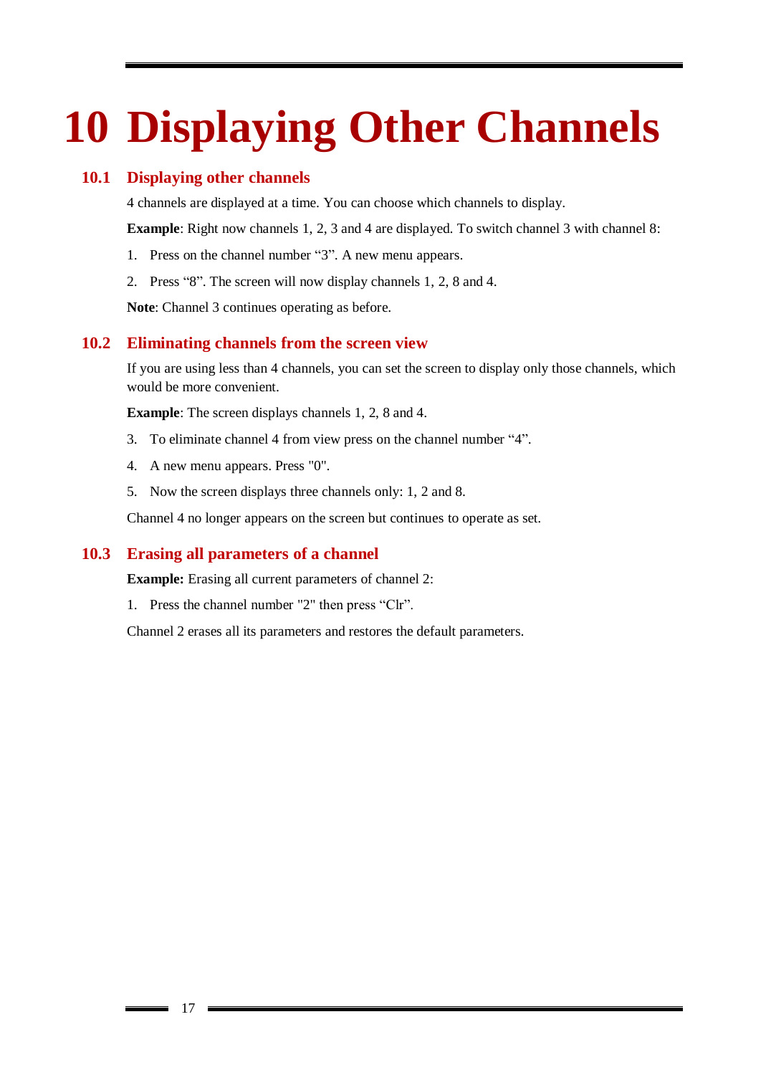# <span id="page-16-0"></span>**10 Displaying Other Channels**

### **10.1 Displaying other channels**

<span id="page-16-1"></span>4 channels are displayed at a time. You can choose which channels to display.

**Example:** Right now channels 1, 2, 3 and 4 are displayed. To switch channel 3 with channel 8:

- 1. Press on the channel number "3". A new menu appears.
- 2. Press "8". The screen will now display channels 1, 2, 8 and 4.

<span id="page-16-2"></span>**Note**: Channel 3 continues operating as before.

#### **10.2 Eliminating channels from the screen view**

If you are using less than 4 channels, you can set the screen to display only those channels, which would be more convenient.

**Example**: The screen displays channels 1, 2, 8 and 4.

- 3. To eliminate channel 4 from view press on the channel number "4".
- 4. A new menu appears. Press "0".
- 5. Now the screen displays three channels only: 1, 2 and 8.

<span id="page-16-3"></span>Channel 4 no longer appears on the screen but continues to operate as set.

#### **10.3 Erasing all parameters of a channel**

**Example:** Erasing all current parameters of channel 2:

1. Press the channel number "2" then press "Clr".

Channel 2 erases all its parameters and restores the default parameters.

17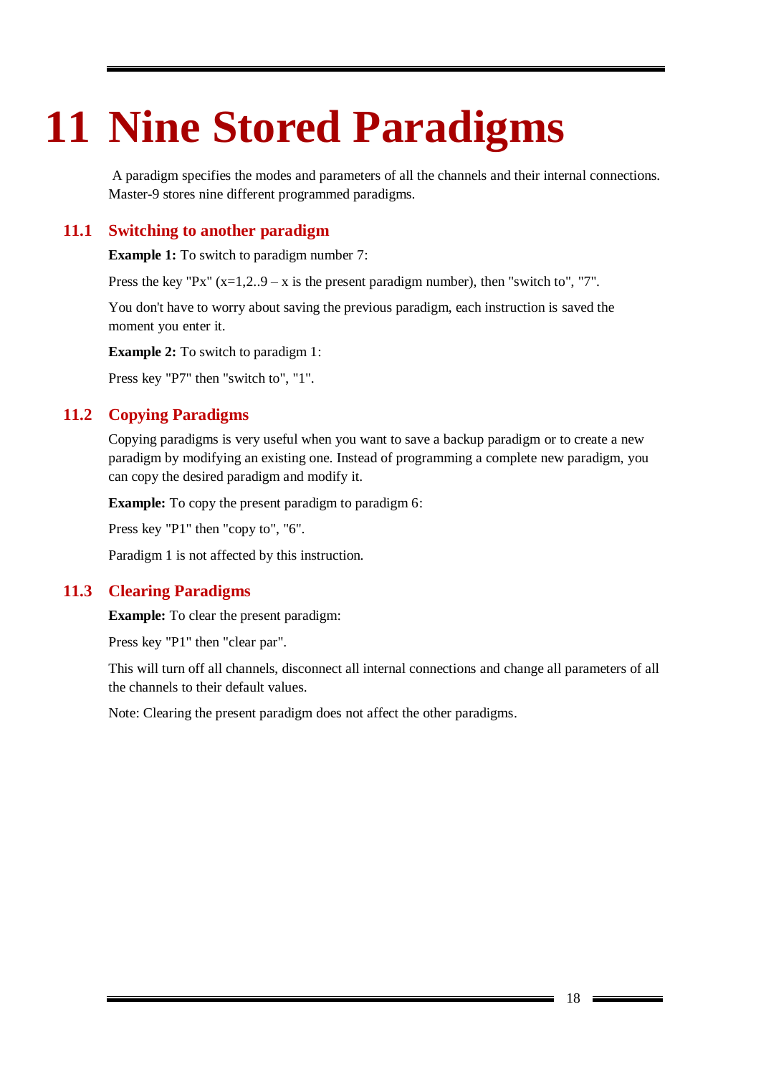# <span id="page-17-0"></span>**11 Nine Stored Paradigms**

A paradigm specifies the modes and parameters of all the channels and their internal connections. Master-9 stores nine different programmed paradigms.

### **11.1 Switching to another paradigm**

<span id="page-17-1"></span>**Example 1:** To switch to paradigm number 7:

Press the key "Px"  $(x=1,2..9-x)$  is the present paradigm number), then "switch to", "7".

You don't have to worry about saving the previous paradigm, each instruction is saved the moment you enter it.

**Example 2:** To switch to paradigm 1:

<span id="page-17-2"></span>Press key "P7" then "switch to", "1".

### **11.2 Copying Paradigms**

Copying paradigms is very useful when you want to save a backup paradigm or to create a new paradigm by modifying an existing one. Instead of programming a complete new paradigm, you can copy the desired paradigm and modify it.

**Example:** To copy the present paradigm to paradigm 6:

Press key "P1" then "copy to", "6".

<span id="page-17-3"></span>Paradigm 1 is not affected by this instruction.

#### **11.3 Clearing Paradigms**

**Example:** To clear the present paradigm:

Press key "P1" then "clear par".

This will turn off all channels, disconnect all internal connections and change all parameters of all the channels to their default values.

Note: Clearing the present paradigm does not affect the other paradigms.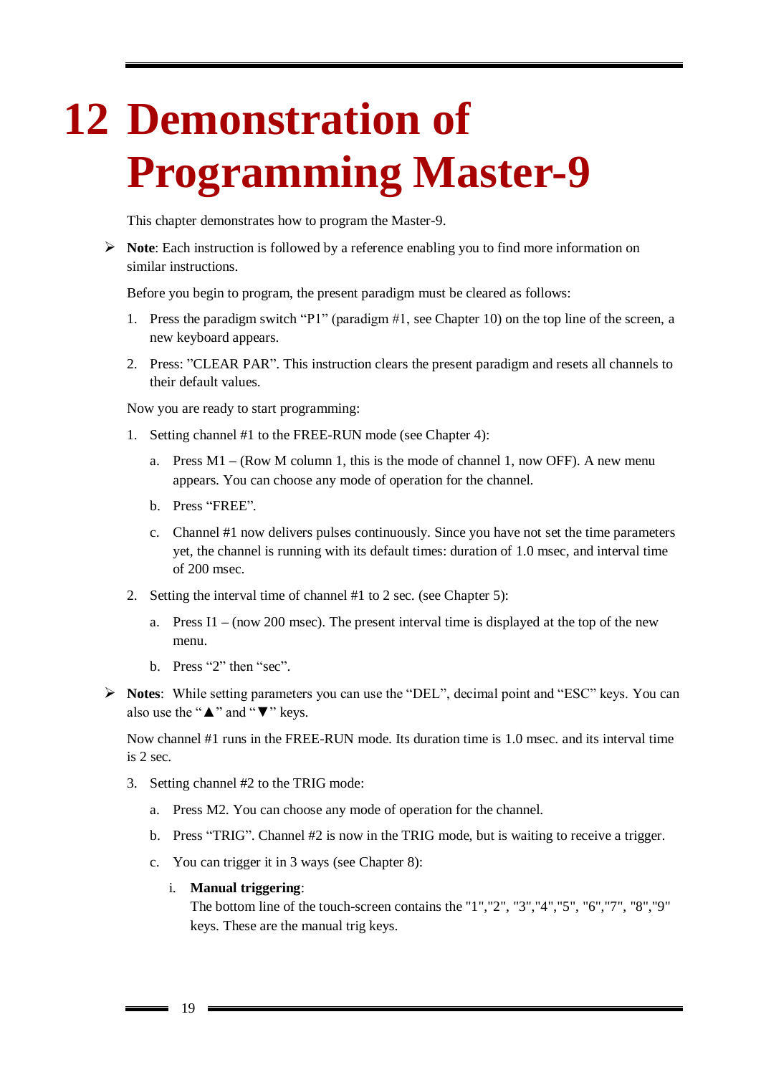# <span id="page-18-0"></span>**12 Demonstration of Programming Master-9**

This chapter demonstrates how to program the Master-9.

 **Note**: Each instruction is followed by a reference enabling you to find more information on similar instructions.

Before you begin to program, the present paradigm must be cleared as follows:

- 1. Press the paradigm switch "P1" (paradigm #1, see Chapter 10) on the top line of the screen, a new keyboard appears.
- 2. Press: "CLEAR PAR". This instruction clears the present paradigm and resets all channels to their default values.

Now you are ready to start programming:

- 1. Setting channel #1 to the FREE-RUN mode (see Chapter 4):
	- a. Press M1 **–** (Row M column 1, this is the mode of channel 1, now OFF). A new menu appears. You can choose any mode of operation for the channel.
	- b. Press "FREE".
	- c. Channel #1 now delivers pulses continuously. Since you have not set the time parameters yet, the channel is running with its default times: duration of 1.0 msec, and interval time of 200 msec.
- 2. Setting the interval time of channel #1 to 2 sec. (see Chapter 5):
	- a. Press I1 **–** (now 200 msec). The present interval time is displayed at the top of the new menu.
	- b. Press "2" then "sec".
- **Notes**: While setting parameters you can use the "DEL", decimal point and "ESC" keys. You can also use the "▲" and "▼" keys.

Now channel #1 runs in the FREE-RUN mode. Its duration time is 1.0 msec. and its interval time is 2 sec.

- 3. Setting channel #2 to the TRIG mode:
	- a. Press M2. You can choose any mode of operation for the channel.
	- b. Press "TRIG". Channel #2 is now in the TRIG mode, but is waiting to receive a trigger.
	- c. You can trigger it in 3 ways (see Chapter 8):

#### i. **Manual triggering**:

The bottom line of the touch-screen contains the "1","2", "3","4","5", "6","7", "8","9" keys. These are the manual trig keys.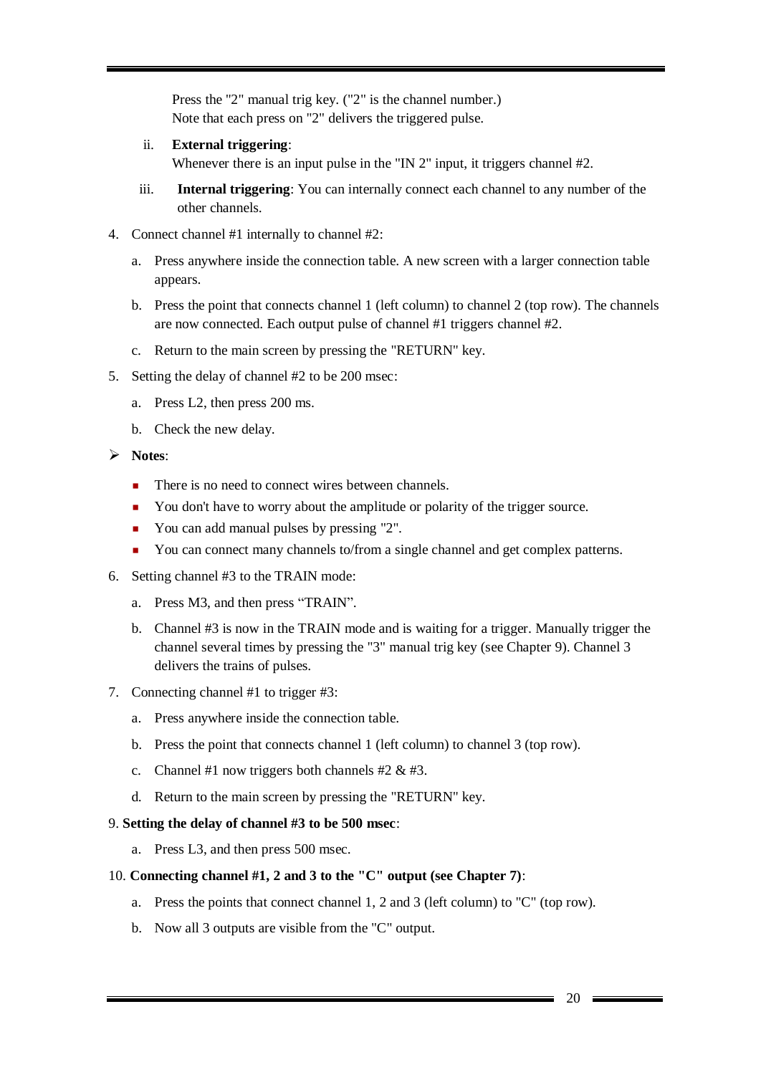Press the "2" manual trig key. ("2" is the channel number.) Note that each press on "2" delivers the triggered pulse.

ii. **External triggering**:

Whenever there is an input pulse in the "IN 2" input, it triggers channel #2.

- iii. **Internal triggering**: You can internally connect each channel to any number of the other channels.
- 4. Connect channel #1 internally to channel #2:
	- a. Press anywhere inside the connection table. A new screen with a larger connection table appears.
	- b. Press the point that connects channel 1 (left column) to channel 2 (top row). The channels are now connected. Each output pulse of channel #1 triggers channel #2.
	- c. Return to the main screen by pressing the "RETURN" key.
- 5. Setting the delay of channel #2 to be 200 msec:
	- a. Press L2, then press 200 ms.
	- b. Check the new delay.
- **Notes**:
	- There is no need to connect wires between channels.
	- You don't have to worry about the amplitude or polarity of the trigger source.
	- You can add manual pulses by pressing "2".
	- You can connect many channels to/from a single channel and get complex patterns.
- 6. Setting channel #3 to the TRAIN mode:
	- a. Press M3, and then press "TRAIN".
	- b. Channel #3 is now in the TRAIN mode and is waiting for a trigger. Manually trigger the channel several times by pressing the "3" manual trig key (see Chapter 9). Channel 3 delivers the trains of pulses.
- 7. Connecting channel #1 to trigger #3:
	- a. Press anywhere inside the connection table.
	- b. Press the point that connects channel 1 (left column) to channel 3 (top row).
	- c. Channel #1 now triggers both channels #2 & #3.
	- d. Return to the main screen by pressing the "RETURN" key.

#### 9. **Setting the delay of channel #3 to be 500 msec**:

a. Press L3, and then press 500 msec.

#### 10. **Connecting channel #1, 2 and 3 to the "C" output (see Chapter 7)**:

- a. Press the points that connect channel 1, 2 and 3 (left column) to "C" (top row).
- b. Now all 3 outputs are visible from the "C" output.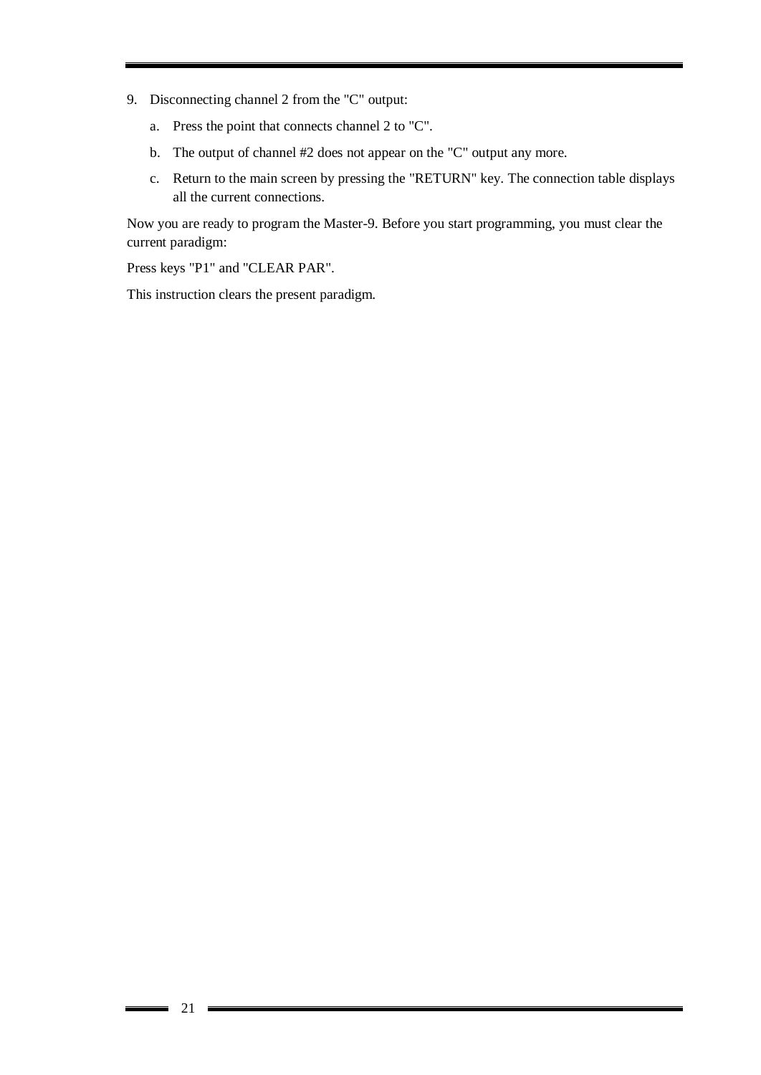- 9. Disconnecting channel 2 from the "C" output:
	- a. Press the point that connects channel 2 to "C".
	- b. The output of channel #2 does not appear on the "C" output any more.
	- c. Return to the main screen by pressing the "RETURN" key. The connection table displays all the current connections.

Now you are ready to program the Master-9. Before you start programming, you must clear the current paradigm:

Press keys "P1" and "CLEAR PAR".

This instruction clears the present paradigm.

 $\overline{\phantom{0}}$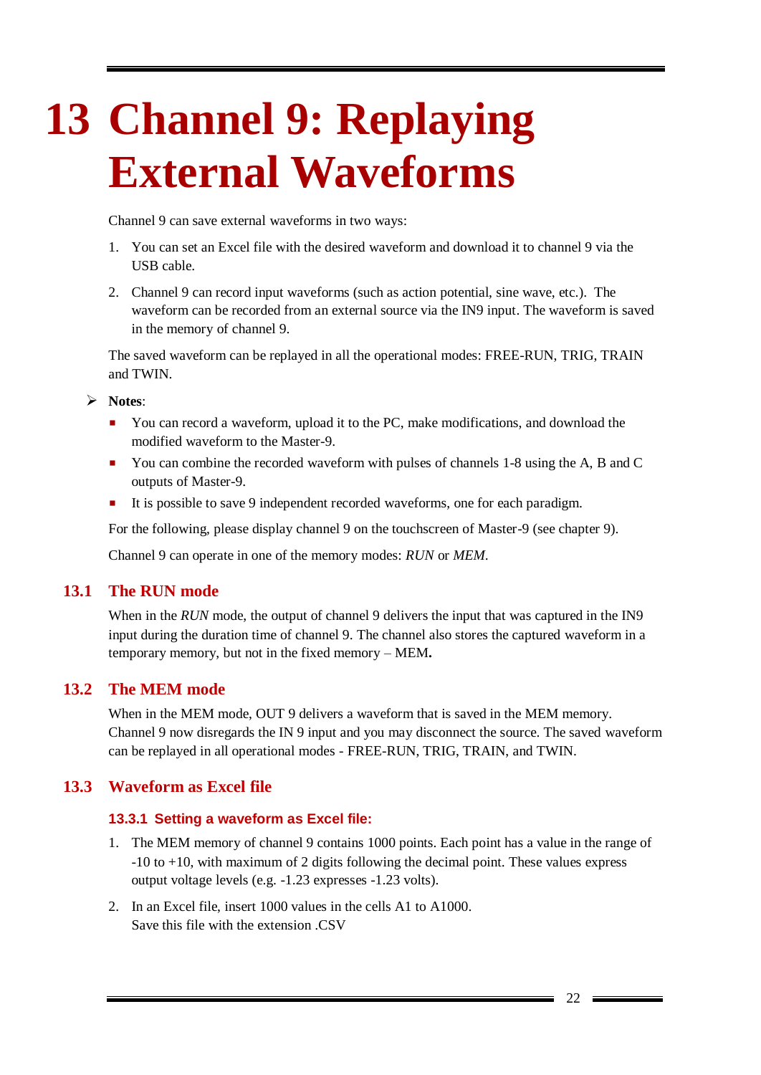# <span id="page-21-0"></span>**13 Channel 9: Replaying External Waveforms**

Channel 9 can save external waveforms in two ways:

- 1. You can set an Excel file with the desired waveform and download it to channel 9 via the USB cable.
- 2. Channel 9 can record input waveforms (such as action potential, sine wave, etc.). The waveform can be recorded from an external source via the IN9 input. The waveform is saved in the memory of channel 9.

The saved waveform can be replayed in all the operational modes: FREE-RUN, TRIG, TRAIN and TWIN.

- **Notes**:
	- You can record a waveform, upload it to the PC, make modifications, and download the modified waveform to the Master-9.
	- You can combine the recorded waveform with pulses of channels 1-8 using the A, B and C outputs of Master-9.
	- It is possible to save 9 independent recorded waveforms, one for each paradigm.

For the following, please display channel 9 on the touchscreen of Master-9 (see chapter 9).

<span id="page-21-1"></span>Channel 9 can operate in one of the memory modes: *RUN* or *MEM*.

#### **13.1 The RUN mode**

When in the *RUN* mode, the output of channel 9 delivers the input that was captured in the IN9 input during the duration time of channel 9. The channel also stores the captured waveform in a temporary memory, but not in the fixed memory – MEM**.**

### **13.2 The MEM mode**

<span id="page-21-2"></span>When in the MEM mode, OUT 9 delivers a waveform that is saved in the MEM memory. Channel 9 now disregards the IN 9 input and you may disconnect the source. The saved waveform can be replayed in all operational modes - FREE-RUN, TRIG, TRAIN, and TWIN.

### <span id="page-21-3"></span>**13.3 Waveform as Excel file**

#### <span id="page-21-4"></span>**13.3.1 Setting a waveform as Excel file:**

- 1. The MEM memory of channel 9 contains 1000 points. Each point has a value in the range of -10 to +10, with maximum of 2 digits following the decimal point. These values express output voltage levels (e.g. -1.23 expresses -1.23 volts).
- 2. In an Excel file, insert 1000 values in the cells A1 to A1000. Save this file with the extension .CSV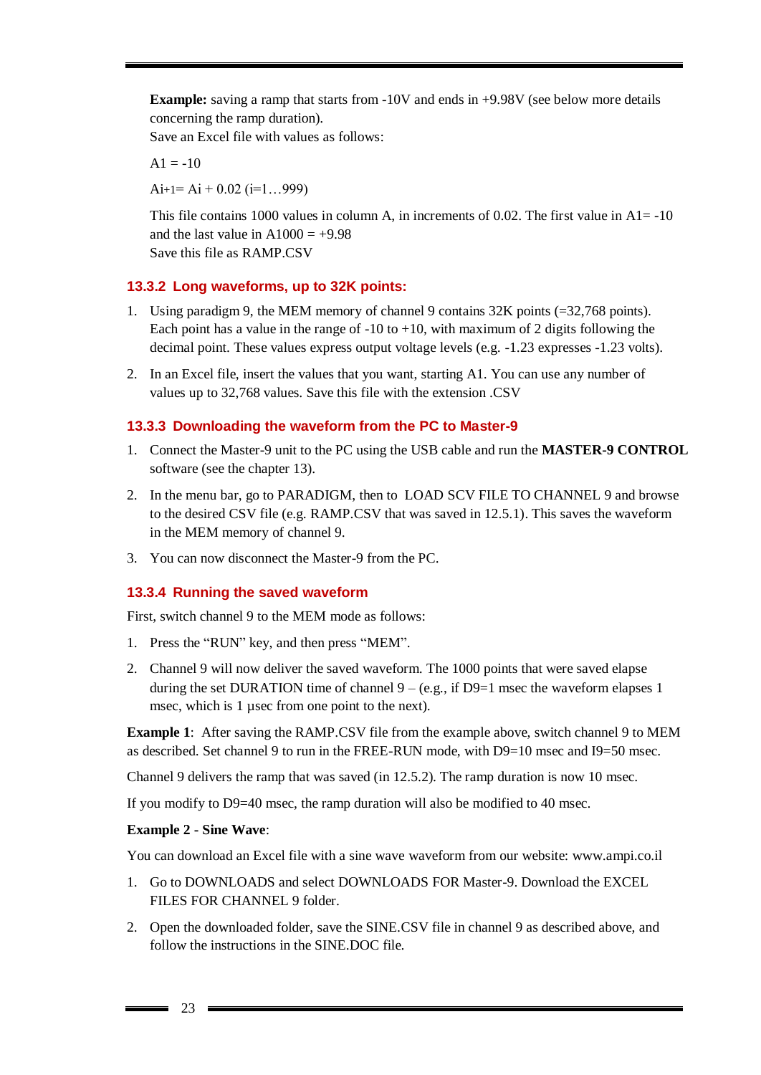**Example:** saving a ramp that starts from -10V and ends in +9.98V (see below more details concerning the ramp duration).

Save an Excel file with values as follows:

 $A1 = -10$ 

 $Ai+1= Ai + 0.02 (i=1...999)$ 

This file contains 1000 values in column A, in increments of 0.02. The first value in  $A1 = -10$ and the last value in  $A1000 = +9.98$ Save this file as RAMP.CSV

### **13.3.2 Long waveforms, up to 32K points:**

- 1. Using paradigm 9, the MEM memory of channel 9 contains 32K points (=32,768 points). Each point has a value in the range of  $-10$  to  $+10$ , with maximum of 2 digits following the decimal point. These values express output voltage levels (e.g. -1.23 expresses -1.23 volts).
- 2. In an Excel file, insert the values that you want, starting A1. You can use any number of values up to 32,768 values. Save this file with the extension .CSV

#### <span id="page-22-0"></span>**13.3.3 Downloading the waveform from the PC to Master-9**

- 1. Connect the Master-9 unit to the PC using the USB cable and run the **MASTER-9 CONTROL** software (see the chapter 13).
- 2. In the menu bar, go to PARADIGM, then to LOAD SCV FILE TO CHANNEL 9 and browse to the desired CSV file (e.g. RAMP.CSV that was saved in 12.5.1). This saves the waveform in the MEM memory of channel 9.
- 3. You can now disconnect the Master-9 from the PC.

#### <span id="page-22-1"></span>**13.3.4 Running the saved waveform**

First, switch channel 9 to the MEM mode as follows:

- 1. Press the "RUN" key, and then press "MEM".
- 2. Channel 9 will now deliver the saved waveform. The 1000 points that were saved elapse during the set DURATION time of channel  $9 - (e.g., if D9=1$  msec the waveform elapses 1 msec, which is 1 usec from one point to the next).

**Example 1**: After saving the RAMP.CSV file from the example above, switch channel 9 to MEM as described. Set channel 9 to run in the FREE-RUN mode, with D9=10 msec and I9=50 msec.

Channel 9 delivers the ramp that was saved (in 12.5.2). The ramp duration is now 10 msec.

If you modify to D9=40 msec, the ramp duration will also be modified to 40 msec.

#### **Example 2 - Sine Wave**:

You can download an Excel file with a sine wave waveform from our website: www.ampi.co.il

- 1. Go to DOWNLOADS and select DOWNLOADS FOR Master-9. Download the EXCEL FILES FOR CHANNEL 9 folder.
- 2. Open the downloaded folder, save the SINE.CSV file in channel 9 as described above, and follow the instructions in the SINE.DOC file.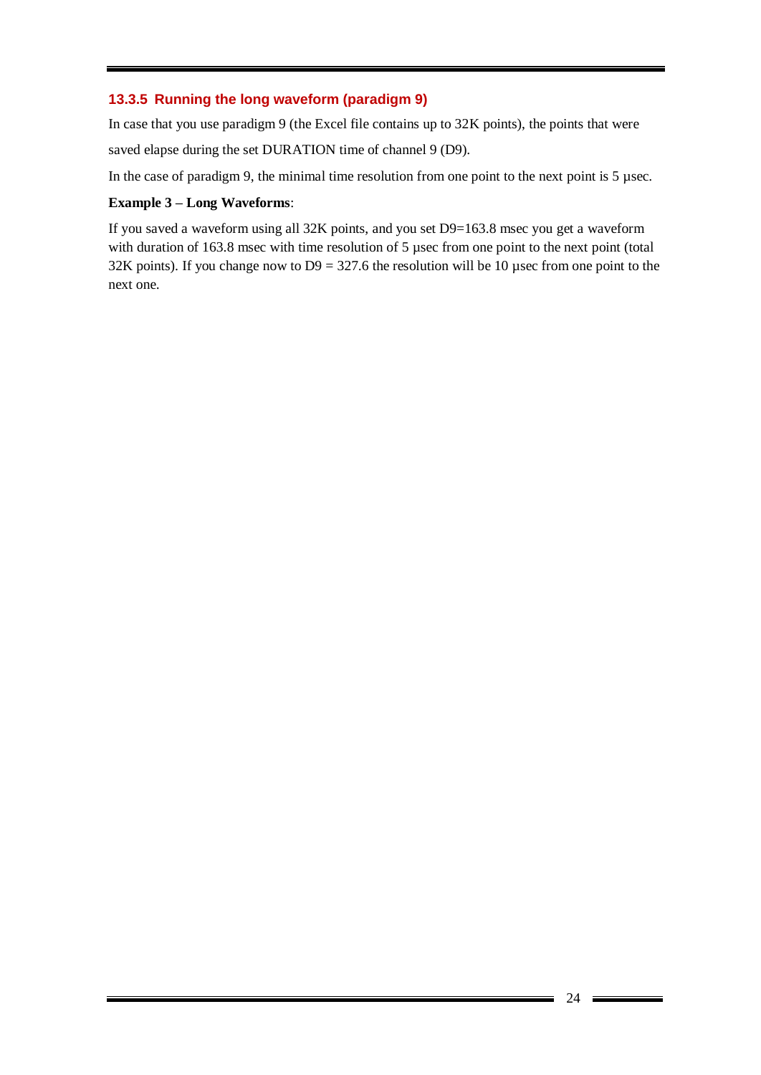### **13.3.5 Running the long waveform (paradigm 9)**

In case that you use paradigm 9 (the Excel file contains up to 32K points), the points that were saved elapse during the set DURATION time of channel 9 (D9).

In the case of paradigm 9, the minimal time resolution from one point to the next point is 5 µsec.

#### **Example 3 – Long Waveforms**:

If you saved a waveform using all 32K points, and you set D9=163.8 msec you get a waveform with duration of 163.8 msec with time resolution of 5 µsec from one point to the next point (total 32K points). If you change now to  $D9 = 327.6$  the resolution will be 10 usec from one point to the next one.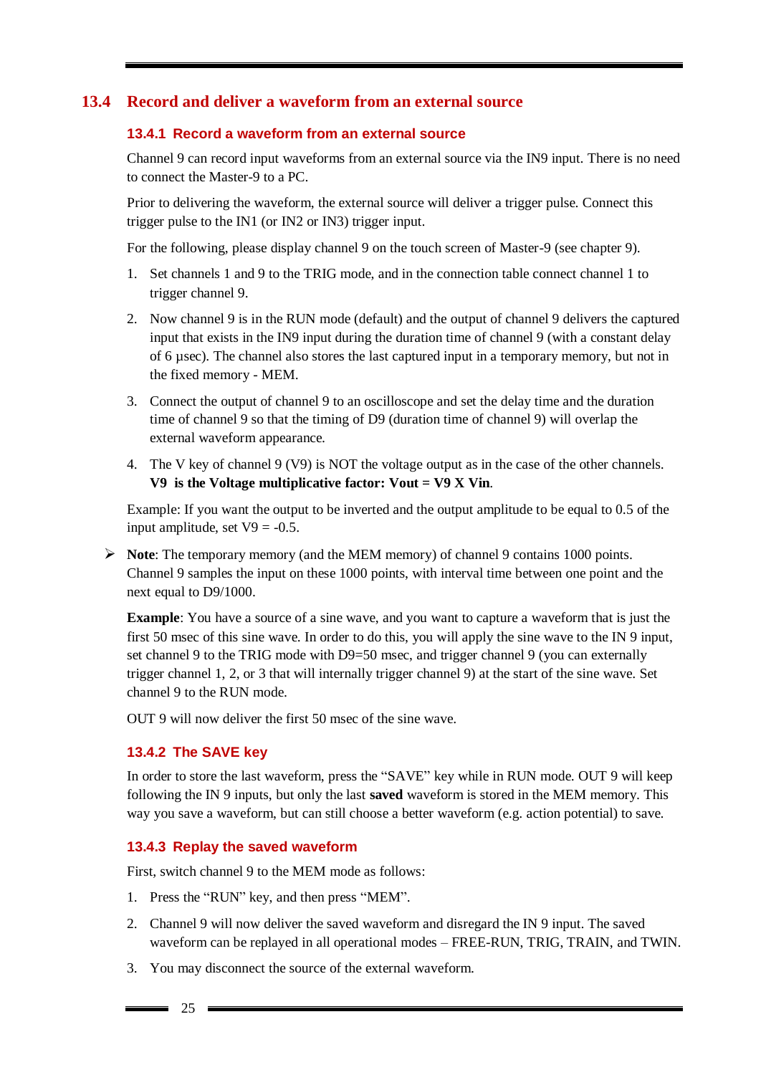### **13.4 Record and deliver a waveform from an external source**

#### <span id="page-24-1"></span><span id="page-24-0"></span>**13.4.1 Record a waveform from an external source**

Channel 9 can record input waveforms from an external source via the IN9 input. There is no need to connect the Master-9 to a PC.

Prior to delivering the waveform, the external source will deliver a trigger pulse. Connect this trigger pulse to the IN1 (or IN2 or IN3) trigger input.

For the following, please display channel 9 on the touch screen of Master-9 (see chapter 9).

- 1. Set channels 1 and 9 to the TRIG mode, and in the connection table connect channel 1 to trigger channel 9.
- 2. Now channel 9 is in the RUN mode (default) and the output of channel 9 delivers the captured input that exists in the IN9 input during the duration time of channel 9 (with a constant delay of 6 µsec). The channel also stores the last captured input in a temporary memory, but not in the fixed memory - MEM.
- 3. Connect the output of channel 9 to an oscilloscope and set the delay time and the duration time of channel 9 so that the timing of D9 (duration time of channel 9) will overlap the external waveform appearance.
- 4. The V key of channel 9 (V9) is NOT the voltage output as in the case of the other channels. **V9 is the Voltage multiplicative factor: Vout = V9 X Vin**.

Example: If you want the output to be inverted and the output amplitude to be equal to 0.5 of the input amplitude, set  $V9 = -0.5$ .

 **Note**: The temporary memory (and the MEM memory) of channel 9 contains 1000 points. Channel 9 samples the input on these 1000 points, with interval time between one point and the next equal to D9/1000.

**Example**: You have a source of a sine wave, and you want to capture a waveform that is just the first 50 msec of this sine wave. In order to do this, you will apply the sine wave to the IN 9 input, set channel 9 to the TRIG mode with D9=50 msec, and trigger channel 9 (you can externally trigger channel 1, 2, or 3 that will internally trigger channel 9) at the start of the sine wave. Set channel 9 to the RUN mode.

OUT 9 will now deliver the first 50 msec of the sine wave.

#### <span id="page-24-2"></span>**13.4.2 The SAVE key**

In order to store the last waveform, press the "SAVE" key while in RUN mode. OUT 9 will keep following the IN 9 inputs, but only the last **saved** waveform is stored in the MEM memory. This way you save a waveform, but can still choose a better waveform (e.g. action potential) to save.

#### <span id="page-24-3"></span>**13.4.3 Replay the saved waveform**

First, switch channel 9 to the MEM mode as follows:

- 1. Press the "RUN" key, and then press "MEM".
- 2. Channel 9 will now deliver the saved waveform and disregard the IN 9 input. The saved waveform can be replayed in all operational modes – FREE-RUN, TRIG, TRAIN, and TWIN.
- 3. You may disconnect the source of the external waveform.

 $\equiv$  25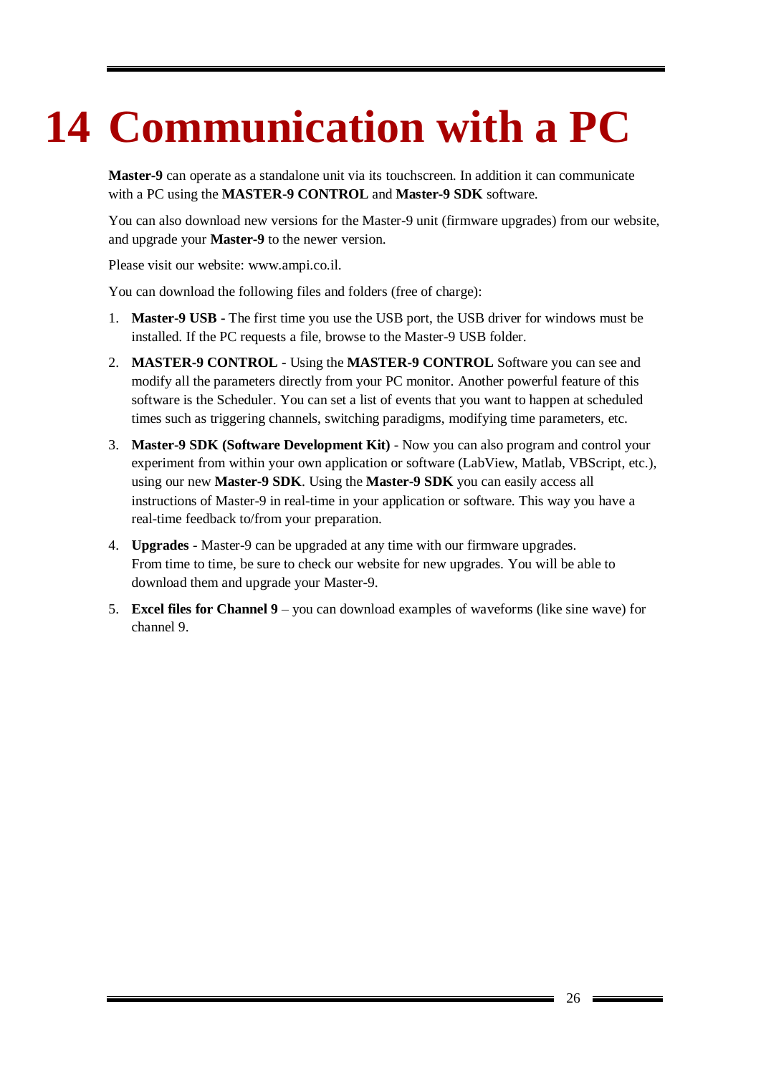# <span id="page-25-0"></span>**14 Communication with a PC**

**Master-9** can operate as a standalone unit via its touchscreen. In addition it can communicate with a PC using the **MASTER-9 CONTROL** and **Master-9 SDK** software.

You can also download new versions for the Master-9 unit (firmware upgrades) from our website, and upgrade your **Master-9** to the newer version.

Please visit our website: [www.ampi.co.il.](http://www.ampi.co.il/)

You can download the following files and folders (free of charge):

- 1. **Master-9 USB -** The first time you use the USB port, the USB driver for windows must be installed. If the PC requests a file, browse to the Master-9 USB folder.
- 2. **MASTER-9 CONTROL** Using the **MASTER-9 CONTROL** Software you can see and modify all the parameters directly from your PC monitor. Another powerful feature of this software is the Scheduler. You can set a list of events that you want to happen at scheduled times such as triggering channels, switching paradigms, modifying time parameters, etc.
- 3. **Master-9 SDK (Software Development Kit)** Now you can also program and control your experiment from within your own application or software (LabView, Matlab, VBScript, etc.), using our new **Master-9 SDK**. Using the **Master-9 SDK** you can easily access all instructions of Master-9 in real-time in your application or software. This way you have a real-time feedback to/from your preparation.
- 4. **Upgrades** Master-9 can be upgraded at any time with our firmware upgrades. From time to time, be sure to check our website for new upgrades. You will be able to download them and upgrade your Master-9.
- 5. **Excel files for Channel 9** you can download examples of waveforms (like sine wave) for channel 9.